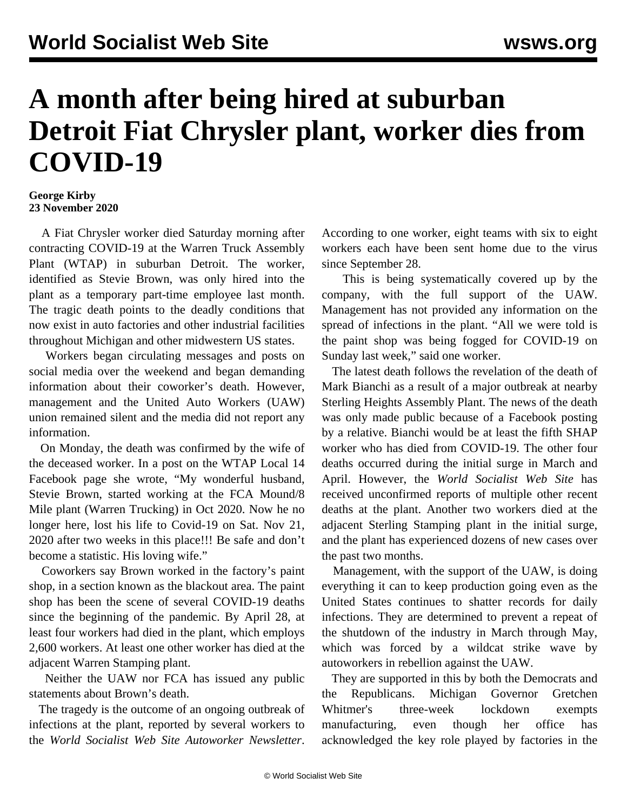## **A month after being hired at suburban Detroit Fiat Chrysler plant, worker dies from COVID-19**

## **George Kirby 23 November 2020**

 A Fiat Chrysler worker died Saturday morning after contracting COVID-19 at the Warren Truck Assembly Plant (WTAP) in suburban Detroit. The worker, identified as Stevie Brown, was only hired into the plant as a temporary part-time employee last month. The tragic death points to the deadly conditions that now exist in auto factories and other industrial facilities throughout Michigan and other midwestern US states.

 Workers began circulating messages and posts on social media over the weekend and began demanding information about their coworker's death. However, management and the United Auto Workers (UAW) union remained silent and the media did not report any information.

 On Monday, the death was confirmed by the wife of the deceased worker. In a post on the WTAP Local 14 Facebook page she wrote, "My wonderful husband, Stevie Brown, started working at the FCA Mound/8 Mile plant (Warren Trucking) in Oct 2020. Now he no longer here, lost his life to Covid-19 on Sat. Nov 21, 2020 after two weeks in this place!!! Be safe and don't become a statistic. His loving wife."

 Coworkers say Brown worked in the factory's paint shop, in a section known as the blackout area. The paint shop has been the scene of several COVID-19 deaths since the beginning of the pandemic. By April 28, at least four workers had died in the plant, which employs 2,600 workers. At least one other worker has died at the adjacent Warren Stamping plant.

 Neither the UAW nor FCA has issued any public statements about Brown's death.

 The tragedy is the outcome of an ongoing outbreak of infections at the plant, reported by several workers to the *World Socialist Web Site Autoworker Newsletter*.

According to one worker, eight teams with six to eight workers each have been sent home due to the virus since September 28.

 This is being systematically covered up by the company, with the full support of the UAW. Management has not provided any information on the spread of infections in the plant. "All we were told is the paint shop was being fogged for COVID-19 on Sunday last week," said one worker.

 The latest death follows the revelation of the death of Mark Bianchi as a result of a major outbreak at nearby Sterling Heights Assembly Plant. The news of the death was only made public because of a Facebook posting by a relative. Bianchi would be at least the fifth SHAP worker who has died from COVID-19. The other four deaths occurred during the initial surge in March and April. However, the *World Socialist Web Site* has received unconfirmed reports of multiple other recent deaths at the plant. Another two workers died at the adjacent Sterling Stamping plant in the initial surge, and the plant has experienced dozens of new cases over the past two months.

 Management, with the support of the UAW, is doing everything it can to keep production going even as the United States continues to shatter records for daily infections. They are determined to prevent a repeat of the shutdown of the industry in March through May, which was forced by a wildcat strike wave by autoworkers in rebellion against the UAW.

 They are supported in this by both the Democrats and the Republicans. Michigan Governor Gretchen Whitmer's three-week lockdown exempts manufacturing, even though her office has acknowledged the key role played by factories in the